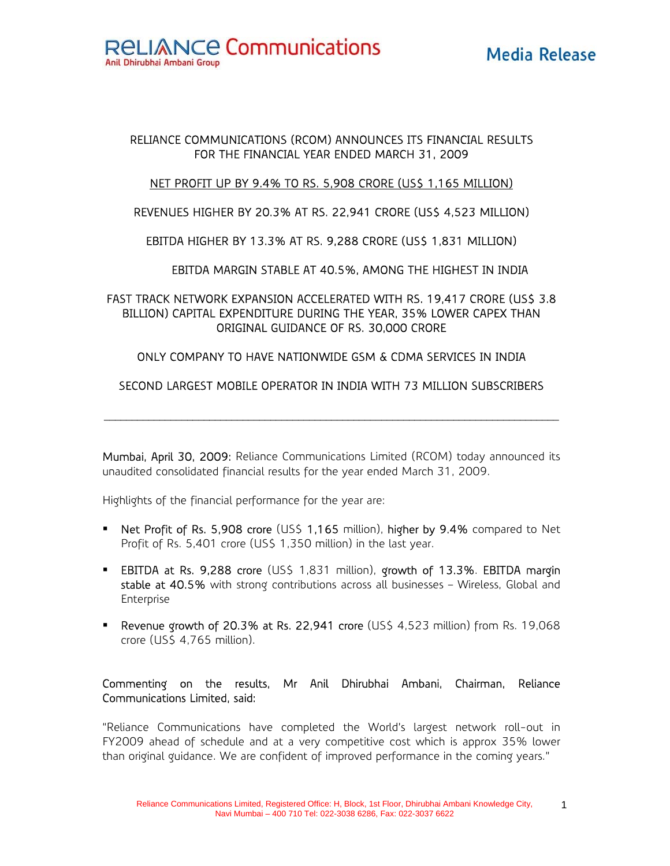# RELIANCE COMMUNICATIONS (RCOM) ANNOUNCES ITS FINANCIAL RESULTS FOR THE FINANCIAL YEAR ENDED MARCH 31, 2009

# NET PROFIT UP BY 9.4% TO RS. 5,908 CRORE (US\$ 1,165 MILLION)

REVENUES HIGHER BY 20.3% AT RS. 22,941 CRORE (US\$ 4,523 MILLION)

EBITDA HIGHER BY 13.3% AT RS. 9,288 CRORE (US\$ 1,831 MILLION)

EBITDA MARGIN STABLE AT 40.5%, AMONG THE HIGHEST IN INDIA

FAST TRACK NETWORK EXPANSION ACCELERATED WITH RS. 19,417 CRORE (US\$ 3.8 BILLION) CAPITAL EXPENDITURE DURING THE YEAR, 35% LOWER CAPEX THAN ORIGINAL GUIDANCE OF RS. 30,000 CRORE

# ONLY COMPANY TO HAVE NATIONWIDE GSM & CDMA SERVICES IN INDIA

# SECOND LARGEST MOBILE OPERATOR IN INDIA WITH 73 MILLION SUBSCRIBERS

 $\mathcal{L}_\mathcal{L} = \mathcal{L}_\mathcal{L} = \mathcal{L}_\mathcal{L} = \mathcal{L}_\mathcal{L} = \mathcal{L}_\mathcal{L} = \mathcal{L}_\mathcal{L} = \mathcal{L}_\mathcal{L} = \mathcal{L}_\mathcal{L} = \mathcal{L}_\mathcal{L} = \mathcal{L}_\mathcal{L} = \mathcal{L}_\mathcal{L} = \mathcal{L}_\mathcal{L} = \mathcal{L}_\mathcal{L} = \mathcal{L}_\mathcal{L} = \mathcal{L}_\mathcal{L} = \mathcal{L}_\mathcal{L} = \mathcal{L}_\mathcal{L}$ 

Mumbai, April 30, 2009: Reliance Communications Limited (RCOM) today announced its unaudited consolidated financial results for the year ended March 31, 2009.

Highlights of the financial performance for the year are:

- Net Profit of Rs. 5,908 crore (US\$ 1,165 million), higher by 9.4% compared to Net Profit of Rs. 5,401 crore (US\$ 1,350 million) in the last year.
- **EBITDA at Rs. 9,288 crore (US\$ 1,831 million), growth of 13.3%. EBITDA margin** stable at 40.5% with strong contributions across all businesses - Wireless, Global and Enterprise
- **P** Revenue growth of 20.3% at Rs. 22,941 crore (US\$ 4,523 million) from Rs. 19,068 crore (US\$ 4,765 million).

# Commenting on the results, Mr Anil Dhirubhai Ambani, Chairman, Reliance Communications Limited, said:

"Reliance Communications have completed the World's largest network roll-out in FY2009 ahead of schedule and at a very competitive cost which is approx 35% lower than original guidance. We are confident of improved performance in the coming years."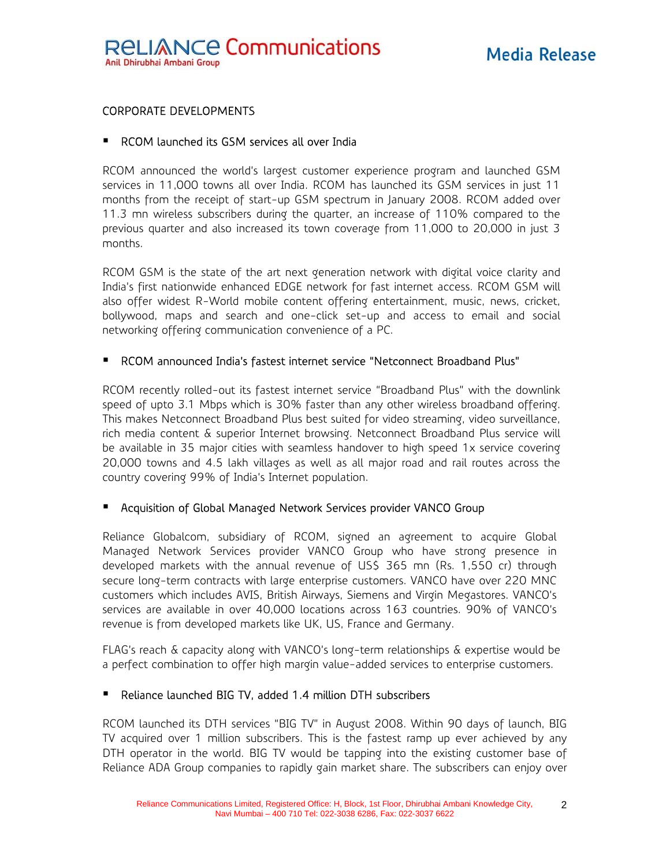# CORPORATE DEVELOPMENTS

### ■ RCOM launched its GSM services all over India

RCOM announced the world's largest customer experience program and launched GSM services in 11,000 towns all over India. RCOM has launched its GSM services in just 11 months from the receipt of start-up GSM spectrum in January 2008. RCOM added over 11.3 mn wireless subscribers during the quarter, an increase of 110% compared to the previous quarter and also increased its town coverage from 11,000 to 20,000 in just 3 months.

RCOM GSM is the state of the art next generation network with digital voice clarity and India's first nationwide enhanced EDGE network for fast internet access. RCOM GSM will also offer widest R-World mobile content offering entertainment, music, news, cricket, bollywood, maps and search and one-click set-up and access to email and social networking offering communication convenience of a PC.

### RCOM announced India's fastest internet service "Netconnect Broadband Plus"

RCOM recently rolled-out its fastest internet service "Broadband Plus" with the downlink speed of upto 3.1 Mbps which is 30% faster than any other wireless broadband offering. This makes Netconnect Broadband Plus best suited for video streaming, video surveillance, rich media content & superior Internet browsing. Netconnect Broadband Plus service will be available in 35 major cities with seamless handover to high speed 1x service covering 20,000 towns and 4.5 lakh villages as well as all major road and rail routes across the country covering 99% of India's Internet population.

### Acquisition of Global Managed Network Services provider VANCO Group

Reliance Globalcom, subsidiary of RCOM, signed an agreement to acquire Global Managed Network Services provider VANCO Group who have strong presence in developed markets with the annual revenue of US\$ 365 mn (Rs. 1,550 cr) through secure long-term contracts with large enterprise customers. VANCO have over 220 MNC customers which includes AVIS, British Airways, Siemens and Virgin Megastores. VANCO's services are available in over 40,000 locations across 163 countries. 90% of VANCO's revenue is from developed markets like UK, US, France and Germany.

FLAG's reach & capacity along with VANCO's long-term relationships & expertise would be a perfect combination to offer high margin value-added services to enterprise customers.

# Reliance launched BIG TV, added 1.4 million DTH subscribers

RCOM launched its DTH services "BIG TV" in August 2008. Within 90 days of launch, BIG TV acquired over 1 million subscribers. This is the fastest ramp up ever achieved by any DTH operator in the world. BIG TV would be tapping into the existing customer base of Reliance ADA Group companies to rapidly gain market share. The subscribers can enjoy over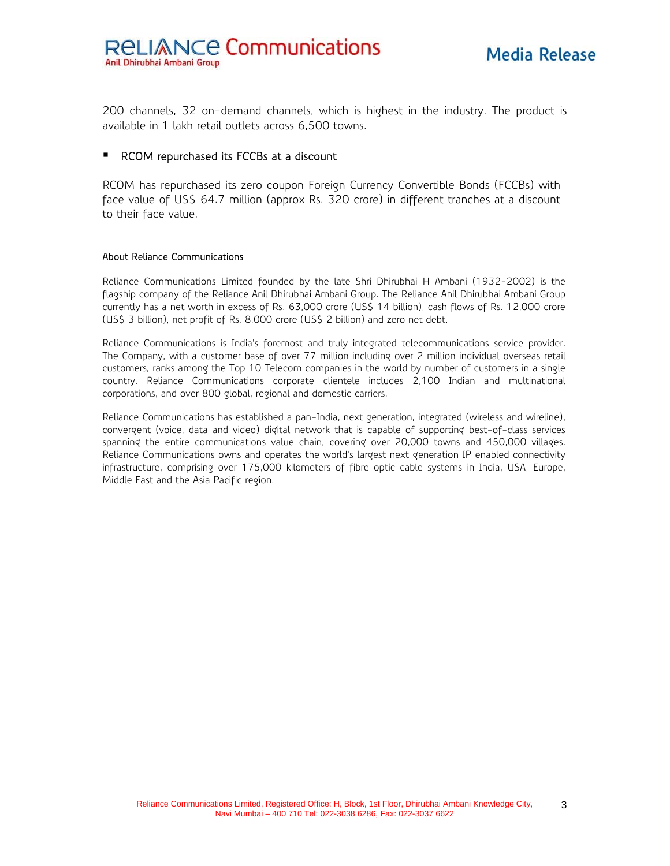200 channels, 32 on-demand channels, which is highest in the industry. The product is available in 1 lakh retail outlets across 6,500 towns.

#### **RCOM repurchased its FCCBs at a discount**

RCOM has repurchased its zero coupon Foreign Currency Convertible Bonds (FCCBs) with face value of US\$ 64.7 million (approx Rs. 320 crore) in different tranches at a discount to their face value.

#### About Reliance Communications

Reliance Communications Limited founded by the late Shri Dhirubhai H Ambani (1932-2002) is the flagship company of the Reliance Anil Dhirubhai Ambani Group. The Reliance Anil Dhirubhai Ambani Group currently has a net worth in excess of Rs. 63,000 crore (US\$ 14 billion), cash flows of Rs. 12,000 crore (US\$ 3 billion), net profit of Rs. 8,000 crore (US\$ 2 billion) and zero net debt.

Reliance Communications is India's foremost and truly integrated telecommunications service provider. The Company, with a customer base of over 77 million including over 2 million individual overseas retail customers, ranks among the Top 10 Telecom companies in the world by number of customers in a single country. Reliance Communications corporate clientele includes 2,100 Indian and multinational corporations, and over 800 global, regional and domestic carriers.

Reliance Communications has established a pan-India, next generation, integrated (wireless and wireline), convergent (voice, data and video) digital network that is capable of supporting best-of-class services spanning the entire communications value chain, covering over 20,000 towns and 450,000 villages. Reliance Communications owns and operates the world's largest next generation IP enabled connectivity infrastructure, comprising over 175,000 kilometers of fibre optic cable systems in India, USA, Europe, Middle East and the Asia Pacific region.